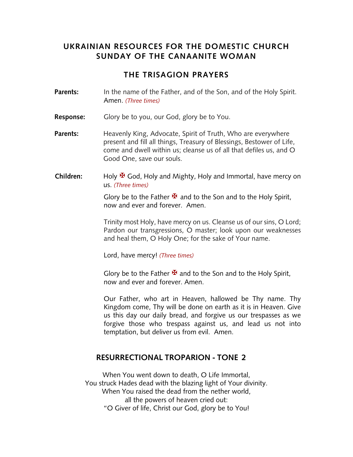### **UKRAINIAN RESOURCES FOR THE DOMESTIC CHURCH SUNDAY OF THE CANAANITE WOMAN**

#### **THE TRISAGION PRAYERS**

- **Parents:** In the name of the Father, and of the Son, and of the Holy Spirit. Amen. *(Three times)*
- **Response:** Glory be to you, our God, glory be to You.
- **Parents:** Heavenly King, Advocate, Spirit of Truth, Who are everywhere present and fill all things, Treasury of Blessings, Bestower of Life, come and dwell within us; cleanse us of all that defiles us, and O Good One, save our souls.
- **Children:** Holy **¥** God, Holy and Mighty, Holy and Immortal, have mercy on us. *(Three times)*

Glory be to the Father  $\mathbf{\mathbf{\mathcal{F}}}$  and to the Son and to the Holy Spirit, now and ever and forever. Amen.

Trinity most Holy, have mercy on us. Cleanse us of our sins, O Lord; Pardon our transgressions, O master; look upon our weaknesses and heal them, O Holy One; for the sake of Your name.

Lord, have mercy! *(Three times)*

Glory be to the Father  $\mathbf{\Psi}$  and to the Son and to the Holy Spirit, now and ever and forever. Amen.

Our Father, who art in Heaven, hallowed be Thy name. Thy Kingdom come, Thy will be done on earth as it is in Heaven. Give us this day our daily bread, and forgive us our trespasses as we forgive those who trespass against us, and lead us not into temptation, but deliver us from evil. Amen.

#### **RESURRECTIONAL TROPARION - TONE 2**

When You went down to death, O Life Immortal, You struck Hades dead with the blazing light of Your divinity. When You raised the dead from the nether world, all the powers of heaven cried out: "O Giver of life, Christ our God, glory be to You!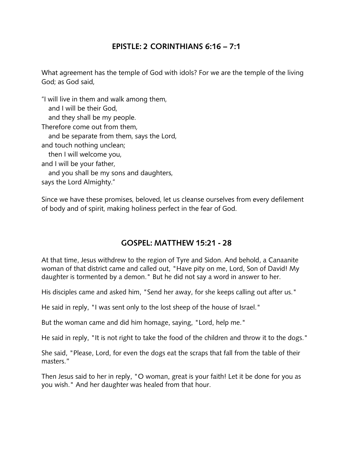## **EPISTLE: 2 CORINTHIANS 6:16 – 7:1**

What agreement has the temple of God with idols? For we are the temple of the living God; as God said,

"I will live in them and walk among them, and I will be their God, and they shall be my people. Therefore come out from them, and be separate from them, says the Lord, and touch nothing unclean; then I will welcome you, and I will be your father, and you shall be my sons and daughters, says the Lord Almighty."

Since we have these promises, beloved, let us cleanse ourselves from every defilement of body and of spirit, making holiness perfect in the fear of God.

## **GOSPEL: MATTHEW 15:21 - 28**

At that time, Jesus withdrew to the region of Tyre and Sidon. And behold, a Canaanite woman of that district came and called out, "Have pity on me, Lord, Son of David! My daughter is tormented by a demon." But he did not say a word in answer to her.

His disciples came and asked him, "Send her away, for she keeps calling out after us."

He said in reply, "I was sent only to the lost sheep of the house of Israel."

But the woman came and did him homage, saying, "Lord, help me."

He said in reply, "It is not right to take the food of the children and throw it to the dogs."

She said, "Please, Lord, for even the dogs eat the scraps that fall from the table of their masters."

Then Jesus said to her in reply, "O woman, great is your faith! Let it be done for you as you wish." And her daughter was healed from that hour.